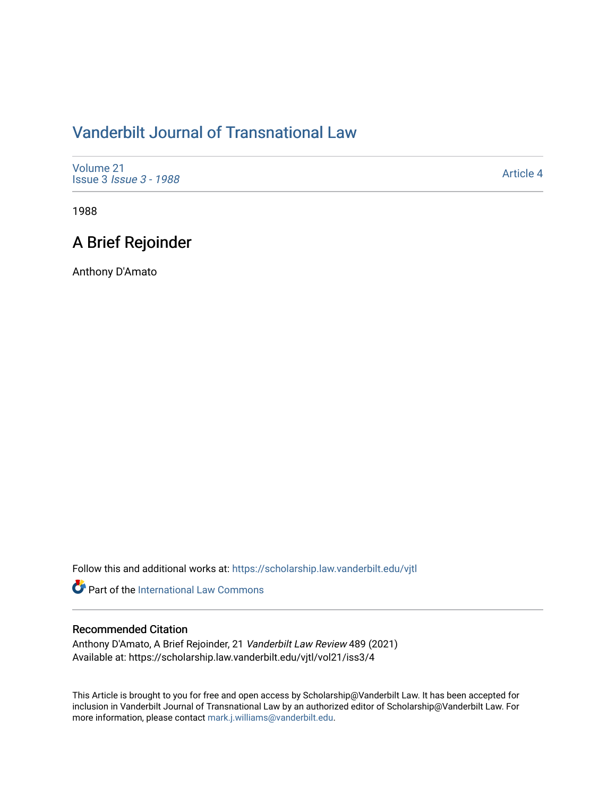# [Vanderbilt Journal of Transnational Law](https://scholarship.law.vanderbilt.edu/vjtl)

| Volume 21<br><b>Issue 3 <i>Issue 3 - 1988</i></b> | Article 4 |
|---------------------------------------------------|-----------|
|---------------------------------------------------|-----------|

1988

# A Brief Rejoinder

Anthony D'Amato

Follow this and additional works at: [https://scholarship.law.vanderbilt.edu/vjtl](https://scholarship.law.vanderbilt.edu/vjtl?utm_source=scholarship.law.vanderbilt.edu%2Fvjtl%2Fvol21%2Fiss3%2F4&utm_medium=PDF&utm_campaign=PDFCoverPages) 

Part of the International Law Commons

### Recommended Citation

Anthony D'Amato, A Brief Rejoinder, 21 Vanderbilt Law Review 489 (2021) Available at: https://scholarship.law.vanderbilt.edu/vjtl/vol21/iss3/4

This Article is brought to you for free and open access by Scholarship@Vanderbilt Law. It has been accepted for inclusion in Vanderbilt Journal of Transnational Law by an authorized editor of Scholarship@Vanderbilt Law. For more information, please contact [mark.j.williams@vanderbilt.edu](mailto:mark.j.williams@vanderbilt.edu).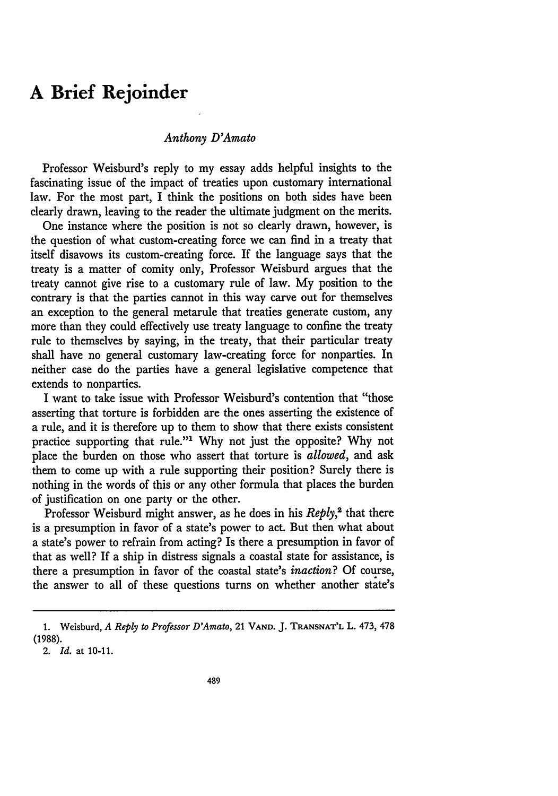### **A Brief Rejoinder**

#### *Anthony D'Amato*

Professor Weisburd's reply to my essay adds helpful insights to the fascinating issue of the impact of treaties upon customary international law. For the most part, I think the positions on both sides have been clearly drawn, leaving to the reader the ultimate judgment on the merits.

One instance where the position is not so clearly drawn, however, is the question of what custom-creating force we can find in a treaty that itself disavows its custom-creating force. If the language says that the treaty is a matter of comity only, Professor Weisburd argues that the treaty cannot give rise to a customary rule of law. My position to the contrary is that the parties cannot in this way carve out for themselves an exception to the general metarule that treaties generate custom, any more than they could effectively use treaty language to confine the treaty rule to themselves by saying, in the treaty, that their particular treaty shall have no general customary law-creating force for nonparties. In neither case do the parties have a general legislative competence that extends to nonparties.

I want to take issue with Professor Weisburd's contention that "those asserting that torture is forbidden are the ones asserting the existence of a rule, and it is therefore up to them to show that there exists consistent practice supporting that rule."' Why not just the opposite? Why not place the burden on those who assert that torture is *allowed,* and ask them to come up with a rule supporting their position? Surely there is nothing in the words of this or any other formula that places the burden of justification on one party or the other.

Professor Weisburd might answer, as he does in his *Reply*,<sup>2</sup> that there is a presumption in favor of a state's power to act. But then what about a state's power to refrain from acting? Is there a presumption in favor of that as well? If a ship in distress signals a coastal state for assistance, is there a presumption in favor of the coastal state's *inaction?* Of course, the answer to all of these questions turns on whether another state's

**<sup>1.</sup>** Weisburd, *A Reply to Professor D'Amato,* 21 **VAND. J. TRANSNAT'L** L. 473, 478 **(1988).**

<sup>2.</sup> *Id.* at 10-11.